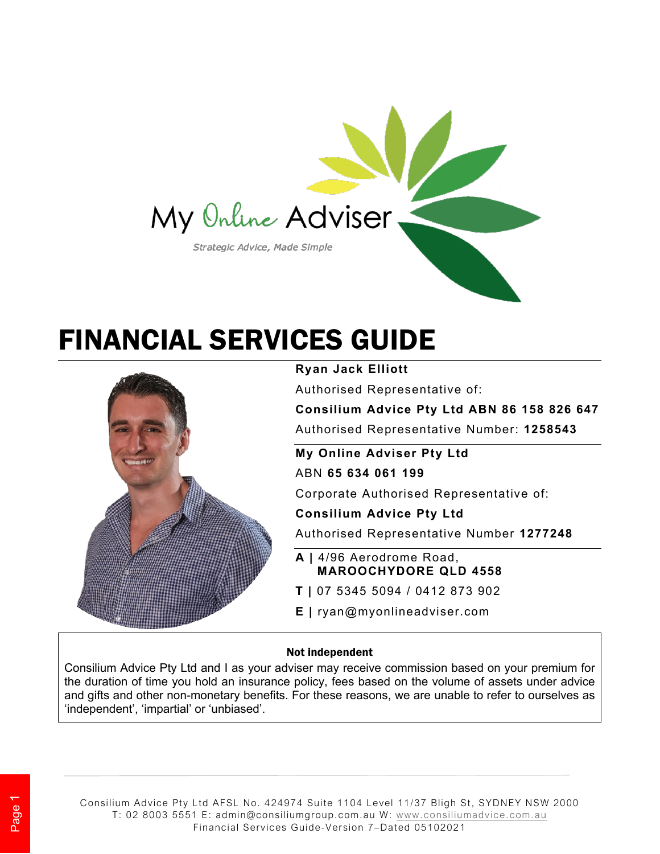

# FINANCIAL SERVICES GUIDE



**Ryan Jack Elliott**

Authorised Representative of:

**Consilium Advice Pty Ltd ABN 86 158 826 647** Authorised Representative Number: **1258543**

**My Online Adviser Pty Ltd** ABN **65 634 061 199**

Corporate Authorised Representative of:

**Consilium Advice Pty Ltd**

Authorised Representative Number **1277248**

- **A |** 4/96 Aerodrome Road, **MAROOCHYDORE QLD 4558**
- **T |** 07 5345 5094 / 0412 873 902
- **E |** ryan@myonlineadviser.com

#### Not independent

Consilium Advice Pty Ltd and I as your adviser may receive commission based on your premium for the duration of time you hold an insurance policy, fees based on the volume of assets under advice and gifts and other non-monetary benefits. For these reasons, we are unable to refer to ourselves as 'independent', 'impartial' or 'unbiased'.

Consilium Advice Pty Ltd AFSL No. 424974 Suite 1104 Level 11/37 Bligh St, SYDNEY NSW 2000 T: 02 8003 5551 E: admin@consiliumgroup.com.au W: www.consiliumadvice.com.au Financial Services Guide-Version 7–Dated 05102021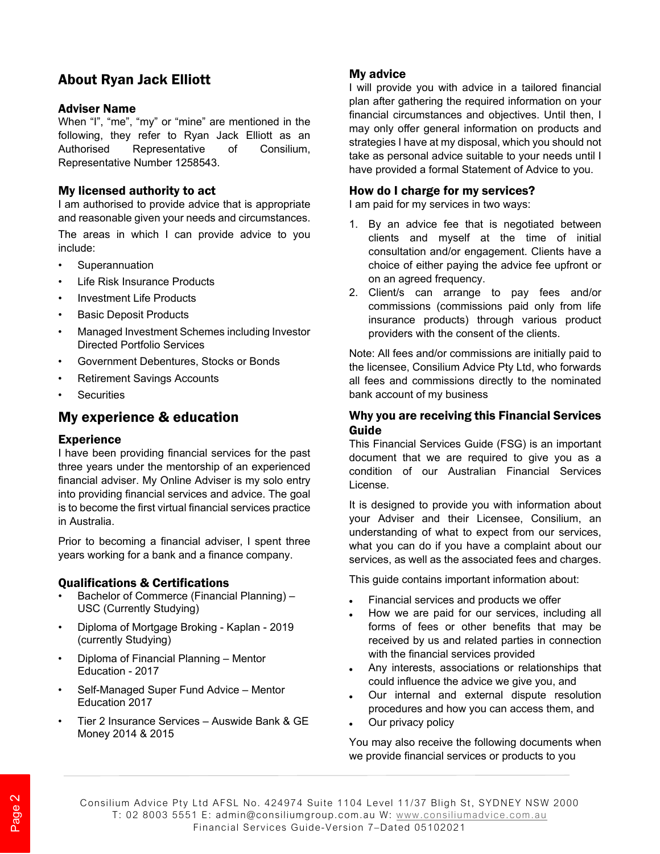# About Ryan Jack Elliott

#### Adviser Name

When "I", "me", "my" or "mine" are mentioned in the following, they refer to Ryan Jack Elliott as an Authorised Representative of Consilium, Representative Number 1258543.

#### My licensed authority to act

I am authorised to provide advice that is appropriate and reasonable given your needs and circumstances.

The areas in which I can provide advice to you include:

- **Superannuation**
- Life Risk Insurance Products
- Investment Life Products
- **Basic Deposit Products**
- Managed Investment Schemes including Investor Directed Portfolio Services
- Government Debentures, Stocks or Bonds
- Retirement Savings Accounts
- **Securities**

## My experience & education

#### **Experience**

I have been providing financial services for the past three years under the mentorship of an experienced financial adviser. My Online Adviser is my solo entry into providing financial services and advice. The goal is to become the first virtual financial services practice in Australia.

Prior to becoming a financial adviser, I spent three years working for a bank and a finance company.

#### Qualifications & Certifications

- Bachelor of Commerce (Financial Planning) USC (Currently Studying)
- Diploma of Mortgage Broking Kaplan 2019 (currently Studying)
- Diploma of Financial Planning Mentor Education - 2017
- Self-Managed Super Fund Advice Mentor Education 2017
- Tier 2 Insurance Services Auswide Bank & GE Money 2014 & 2015

#### My advice

I will provide you with advice in a tailored financial plan after gathering the required information on your financial circumstances and objectives. Until then, I may only offer general information on products and strategies I have at my disposal, which you should not take as personal advice suitable to your needs until I have provided a formal Statement of Advice to you.

#### How do I charge for my services?

I am paid for my services in two ways:

- 1. By an advice fee that is negotiated between clients and myself at the time of initial consultation and/or engagement. Clients have a choice of either paying the advice fee upfront or on an agreed frequency.
- 2. Client/s can arrange to pay fees and/or commissions (commissions paid only from life insurance products) through various product providers with the consent of the clients.

Note: All fees and/or commissions are initially paid to the licensee, Consilium Advice Pty Ltd, who forwards all fees and commissions directly to the nominated bank account of my business

#### Why you are receiving this Financial Services Guide

This Financial Services Guide (FSG) is an important document that we are required to give you as a condition of our Australian Financial Services License.

It is designed to provide you with information about your Adviser and their Licensee, Consilium, an understanding of what to expect from our services, what you can do if you have a complaint about our services, as well as the associated fees and charges.

This guide contains important information about:

- Financial services and products we offer
- How we are paid for our services, including all forms of fees or other benefits that may be received by us and related parties in connection with the financial services provided
- Any interests, associations or relationships that could influence the advice we give you, and
- Our internal and external dispute resolution procedures and how you can access them, and
- Our privacy policy

You may also receive the following documents when we provide financial services or products to you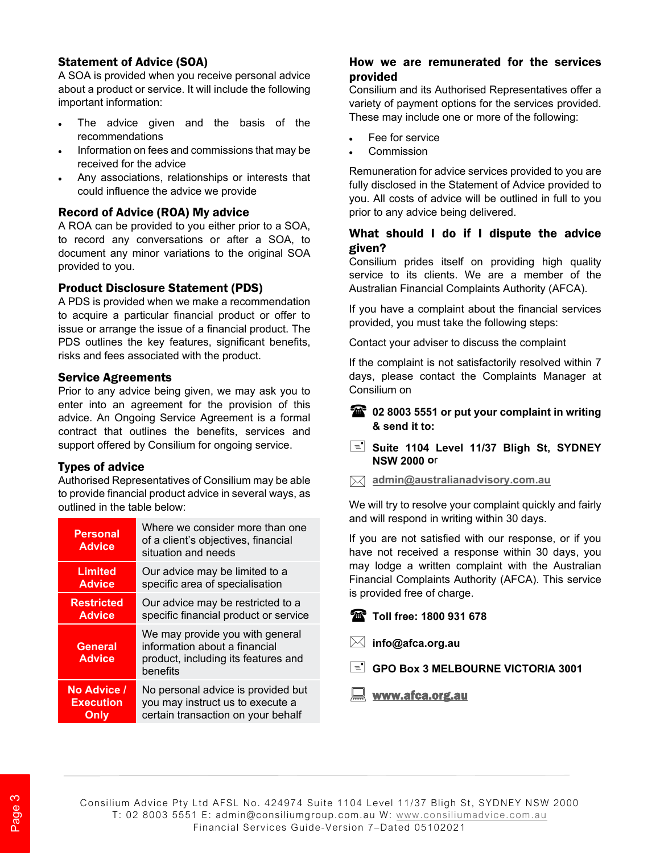### Statement of Advice (SOA)

A SOA is provided when you receive personal advice about a product or service. It will include the following important information:

- The advice given and the basis of the recommendations
- Information on fees and commissions that may be received for the advice
- Any associations, relationships or interests that could influence the advice we provide

#### Record of Advice (ROA) My advice

A ROA can be provided to you either prior to a SOA, to record any conversations or after a SOA, to document any minor variations to the original SOA provided to you.

#### Product Disclosure Statement (PDS)

A PDS is provided when we make a recommendation to acquire a particular financial product or offer to issue or arrange the issue of a financial product. The PDS outlines the key features, significant benefits, risks and fees associated with the product.

#### Service Agreements

Prior to any advice being given, we may ask you to enter into an agreement for the provision of this advice. An Ongoing Service Agreement is a formal contract that outlines the benefits, services and support offered by Consilium for ongoing service.

#### Types of advice

Authorised Representatives of Consilium may be able to provide financial product advice in several ways, as outlined in the table below:

| <b>Personal</b><br><b>Advice</b> | Where we consider more than one<br>of a client's objectives, financial<br>situation and needs                       |
|----------------------------------|---------------------------------------------------------------------------------------------------------------------|
| <b>Limited</b>                   | Our advice may be limited to a                                                                                      |
| <b>Advice</b>                    | specific area of specialisation                                                                                     |
| <b>Restricted</b>                | Our advice may be restricted to a                                                                                   |
| <b>Advice</b>                    | specific financial product or service                                                                               |
| <b>General</b><br><b>Advice</b>  | We may provide you with general<br>information about a financial<br>product, including its features and<br>benefits |
| No Advice /                      | No personal advice is provided but                                                                                  |
| <b>Execution</b>                 | you may instruct us to execute a                                                                                    |
| Only                             | certain transaction on your behalf                                                                                  |

## How we are remunerated for the services provided

Consilium and its Authorised Representatives offer a variety of payment options for the services provided. These may include one or more of the following:

- Fee for service
- **Commission**

Remuneration for advice services provided to you are fully disclosed in the Statement of Advice provided to you. All costs of advice will be outlined in full to you prior to any advice being delivered.

#### What should I do if I dispute the advice given?

Consilium prides itself on providing high quality service to its clients. We are a member of the Australian Financial Complaints Authority (AFCA).

If you have a complaint about the financial services provided, you must take the following steps:

Contact your adviser to discuss the complaint

If the complaint is not satisfactorily resolved within 7 days, please contact the Complaints Manager at Consilium on

#### **1** 02 8003 5551 or put your complaint in writing **& send it to:**

#### **Suite 1104 Level 11/37 Bligh St, SYDNEY NSW 2000 o**r

**admin@australianadvisory.com.au**

We will try to resolve your complaint quickly and fairly and will respond in writing within 30 days.

If you are not satisfied with our response, or if you have not received a response within 30 days, you may lodge a written complaint with the Australian Financial Complaints Authority (AFCA). This service is provided free of charge.



**info@afca.org.au** 

GPO Box 3 MELBOURNE VICTORIA 3001

www.afca.org.au

Consilium Advice Pty Ltd AFSL No. 424974 Suite 1104 Level 11/37 Bligh St, SYDNEY NSW 2000 T: 02 8003 5551 E: admin@consiliumgroup.com.au W: www.consiliumadvice.com.au Financial Services Guide-Version 7–Dated 05102021